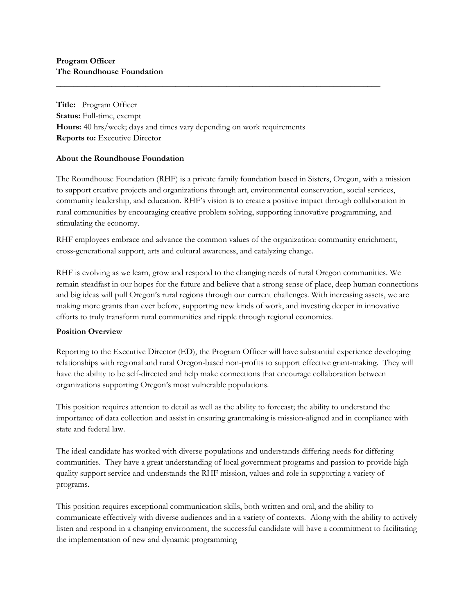**Title:** Program Officer **Status:** Full-time, exempt **Hours:** 40 hrs/week; days and times vary depending on work requirements **Reports to:** Executive Director

### **About the Roundhouse Foundation**

The Roundhouse Foundation (RHF) is a private family foundation based in Sisters, Oregon, with a mission to support creative projects and organizations through art, environmental conservation, social services, community leadership, and education. RHF's vision is to create a positive impact through collaboration in rural communities by encouraging creative problem solving, supporting innovative programming, and stimulating the economy.

\_\_\_\_\_\_\_\_\_\_\_\_\_\_\_\_\_\_\_\_\_\_\_\_\_\_\_\_\_\_\_\_\_\_\_\_\_\_\_\_\_\_\_\_\_\_\_\_\_\_\_\_\_\_\_\_\_\_\_\_\_\_\_\_\_\_\_\_\_\_\_\_\_\_\_\_

RHF employees embrace and advance the common values of the organization: community enrichment, cross-generational support, arts and cultural awareness, and catalyzing change.

RHF is evolving as we learn, grow and respond to the changing needs of rural Oregon communities. We remain steadfast in our hopes for the future and believe that a strong sense of place, deep human connections and big ideas will pull Oregon's rural regions through our current challenges. With increasing assets, we are making more grants than ever before, supporting new kinds of work, and investing deeper in innovative efforts to truly transform rural communities and ripple through regional economies.

#### **Position Overview**

Reporting to the Executive Director (ED), the Program Officer will have substantial experience developing relationships with regional and rural Oregon-based non-profits to support effective grant-making. They will have the ability to be self-directed and help make connections that encourage collaboration between organizations supporting Oregon's most vulnerable populations.

This position requires attention to detail as well as the ability to forecast; the ability to understand the importance of data collection and assist in ensuring grantmaking is mission-aligned and in compliance with state and federal law.

The ideal candidate has worked with diverse populations and understands differing needs for differing communities. They have a great understanding of local government programs and passion to provide high quality support service and understands the RHF mission, values and role in supporting a variety of programs.

This position requires exceptional communication skills, both written and oral, and the ability to communicate effectively with diverse audiences and in a variety of contexts. Along with the ability to actively listen and respond in a changing environment, the successful candidate will have a commitment to facilitating the implementation of new and dynamic programming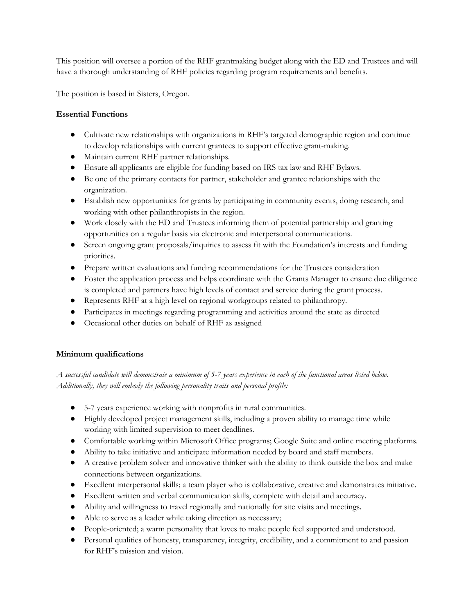This position will oversee a portion of the RHF grantmaking budget along with the ED and Trustees and will have a thorough understanding of RHF policies regarding program requirements and benefits.

The position is based in Sisters, Oregon.

### **Essential Functions**

- Cultivate new relationships with organizations in RHF's targeted demographic region and continue to develop relationships with current grantees to support effective grant-making.
- Maintain current RHF partner relationships.
- Ensure all applicants are eligible for funding based on IRS tax law and RHF Bylaws.
- Be one of the primary contacts for partner, stakeholder and grantee relationships with the organization.
- Establish new opportunities for grants by participating in community events, doing research, and working with other philanthropists in the region.
- Work closely with the ED and Trustees informing them of potential partnership and granting opportunities on a regular basis via electronic and interpersonal communications.
- Screen ongoing grant proposals/inquiries to assess fit with the Foundation's interests and funding priorities.
- Prepare written evaluations and funding recommendations for the Trustees consideration
- Foster the application process and helps coordinate with the Grants Manager to ensure due diligence is completed and partners have high levels of contact and service during the grant process.
- Represents RHF at a high level on regional workgroups related to philanthropy.
- Participates in meetings regarding programming and activities around the state as directed
- Occasional other duties on behalf of RHF as assigned

# **Minimum qualifications**

*A successful candidate will demonstrate a minimum of 5-7 years experience in each of the functional areas listed below. Additionally, they will embody the following personality traits and personal profile:*

- 5-7 years experience working with nonprofits in rural communities.
- Highly developed project management skills, including a proven ability to manage time while working with limited supervision to meet deadlines.
- Comfortable working within Microsoft Office programs; Google Suite and online meeting platforms.
- Ability to take initiative and anticipate information needed by board and staff members.
- A creative problem solver and innovative thinker with the ability to think outside the box and make connections between organizations.
- Excellent interpersonal skills; a team player who is collaborative, creative and demonstrates initiative.
- Excellent written and verbal communication skills, complete with detail and accuracy.
- Ability and willingness to travel regionally and nationally for site visits and meetings.
- Able to serve as a leader while taking direction as necessary;
- People-oriented; a warm personality that loves to make people feel supported and understood.
- Personal qualities of honesty, transparency, integrity, credibility, and a commitment to and passion for RHF's mission and vision.